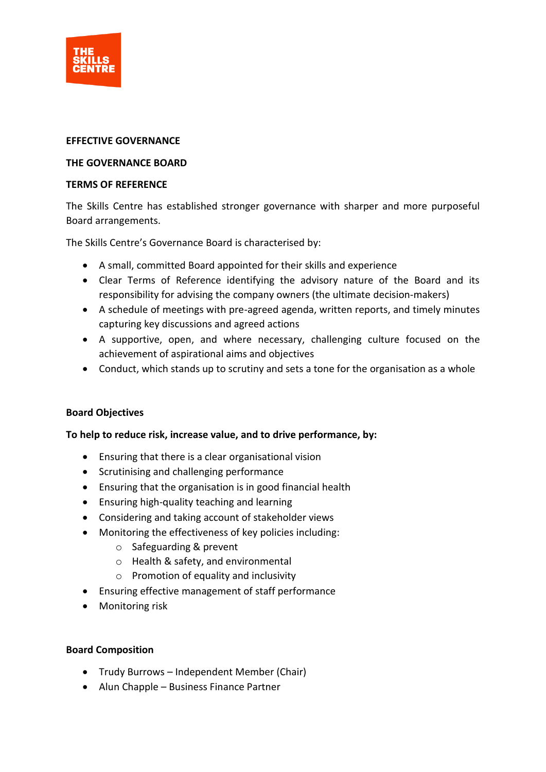

## **EFFECTIVE GOVERNANCE**

### **THE GOVERNANCE BOARD**

#### **TERMS OF REFERENCE**

The Skills Centre has established stronger governance with sharper and more purposeful Board arrangements.

The Skills Centre's Governance Board is characterised by:

- A small, committed Board appointed for their skills and experience
- Clear Terms of Reference identifying the advisory nature of the Board and its responsibility for advising the company owners (the ultimate decision-makers)
- A schedule of meetings with pre-agreed agenda, written reports, and timely minutes capturing key discussions and agreed actions
- A supportive, open, and where necessary, challenging culture focused on the achievement of aspirational aims and objectives
- Conduct, which stands up to scrutiny and sets a tone for the organisation as a whole

# **Board Objectives**

# **To help to reduce risk, increase value, and to drive performance, by:**

- Ensuring that there is a clear organisational vision
- Scrutinising and challenging performance
- Ensuring that the organisation is in good financial health
- Ensuring high-quality teaching and learning
- Considering and taking account of stakeholder views
- Monitoring the effectiveness of key policies including:
	- o Safeguarding & prevent
	- o Health & safety, and environmental
	- o Promotion of equality and inclusivity
- Ensuring effective management of staff performance
- Monitoring risk

#### **Board Composition**

- Trudy Burrows Independent Member (Chair)
- Alun Chapple Business Finance Partner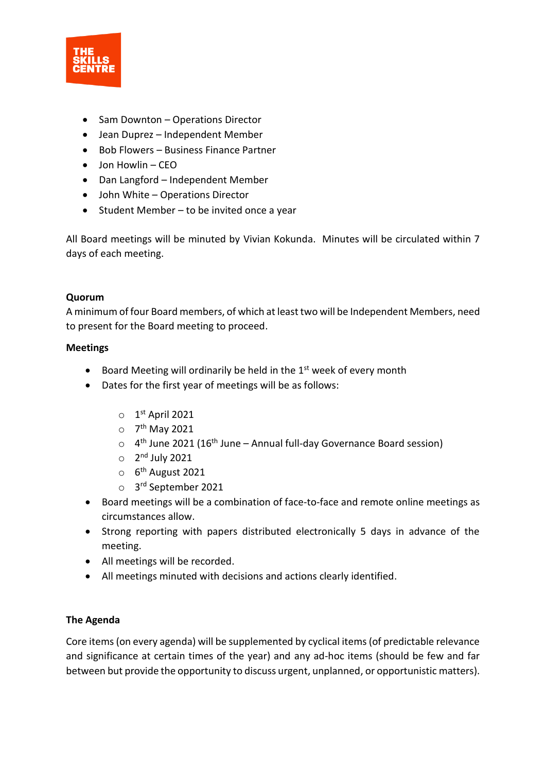

- Sam Downton Operations Director
- Jean Duprez Independent Member
- Bob Flowers Business Finance Partner
- Jon Howlin CEO
- Dan Langford Independent Member
- John White Operations Director
- Student Member to be invited once a year

All Board meetings will be minuted by Vivian Kokunda. Minutes will be circulated within 7 days of each meeting.

#### **Quorum**

A minimum of four Board members, of which at least two will be Independent Members, need to present for the Board meeting to proceed.

#### **Meetings**

- Board Meeting will ordinarily be held in the  $1<sup>st</sup>$  week of every month
- Dates for the first year of meetings will be as follows:
	- $\circ$  1<sup>st</sup> April 2021
	- o 7<sup>th</sup> May 2021
	- $\circ$  4<sup>th</sup> June 2021 (16<sup>th</sup> June Annual full-day Governance Board session)
	- $\circ$  2<sup>nd</sup> July 2021
	- o 6<sup>th</sup> August 2021
	- o 3 rd September 2021
- Board meetings will be a combination of face-to-face and remote online meetings as circumstances allow.
- Strong reporting with papers distributed electronically 5 days in advance of the meeting.
- All meetings will be recorded.
- All meetings minuted with decisions and actions clearly identified.

# **The Agenda**

Core items (on every agenda) will be supplemented by cyclical items (of predictable relevance and significance at certain times of the year) and any ad-hoc items (should be few and far between but provide the opportunity to discuss urgent, unplanned, or opportunistic matters).